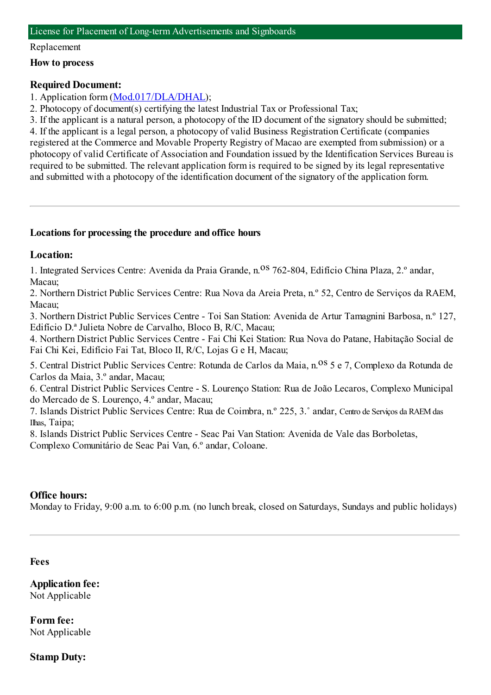#### Replacement

### **How to process**

### **Required Document:**

1. Application form([Mod.017/DLA/DHAL](https://www.iam.gov.mo/c/pdf/eformDetail/PDF365));

2. Photocopy of document(s) certifying the latest Industrial Tax or Professional Tax;

3. If the applicant is a natural person, a photocopy of the ID document of the signatory should be submitted; 4. If the applicant is a legal person, a photocopy of valid Business Registration Certificate (companies registered at the Commerce and Movable Property Registry of Macao are exempted fromsubmission) or a photocopy of valid Certificate of Association and Foundation issued by the Identification Services Bureau is required to be submitted. The relevant application formis required to be signed by its legal representative and submitted with a photocopy of the identification document of the signatory of the application form.

## **Locations for processing the procedure and office hours**

### **Location:**

1. Integrated Services Centre: Avenida da Praia Grande, n. <sup>08</sup> 762-804, Edifício China Plaza, 2.º andar, Macau;

2. Northern District Public Services Centre: Rua Nova da Areia Preta, n.º 52, Centro de Serviços da RAEM, Macau;

3. Northern District Public Services Centre - Toi San Station: Avenida de Artur Tamagnini Barbosa, n.º 127, Edifício D.ª Julieta Nobre de Carvalho, Bloco B, R/C, Macau;

4. Northern District Public Services Centre - Fai Chi Kei Station: Rua Nova do Patane, Habitação Social de Fai Chi Kei, Edifício Fai Tat, Bloco II, R/C, Lojas G e H, Macau;

5. Central District Public Services Centre: Rotunda de Carlos da Maia, n.<sup>08</sup> 5 e 7, Complexo da Rotunda de Carlos da Maia, 3.º andar, Macau;

6. Central District Public Services Centre - S. Lourenço Station: Rua de João Lecaros, Complexo Municipal do Mercado de S. Lourenço, 4.º andar, Macau;

7. Islands District Public Services Centre: Rua de Coimbra, n.º 225, 3.˚ andar, Centro de Serviços da RAEMdas Ilhas, Taipa;

8. Islands District Public Services Centre - Seac Pai Van Station: Avenida de Vale das Borboletas, Complexo Comunitário de Seac Pai Van, 6.º andar, Coloane.

### **Office hours:**

Monday to Friday, 9:00 a.m. to 6:00 p.m. (no lunch break, closed on Saturdays, Sundays and public holidays)

### **Fees**

**Application fee:** Not Applicable

**Form fee:** Not Applicable

**Stamp Duty:**